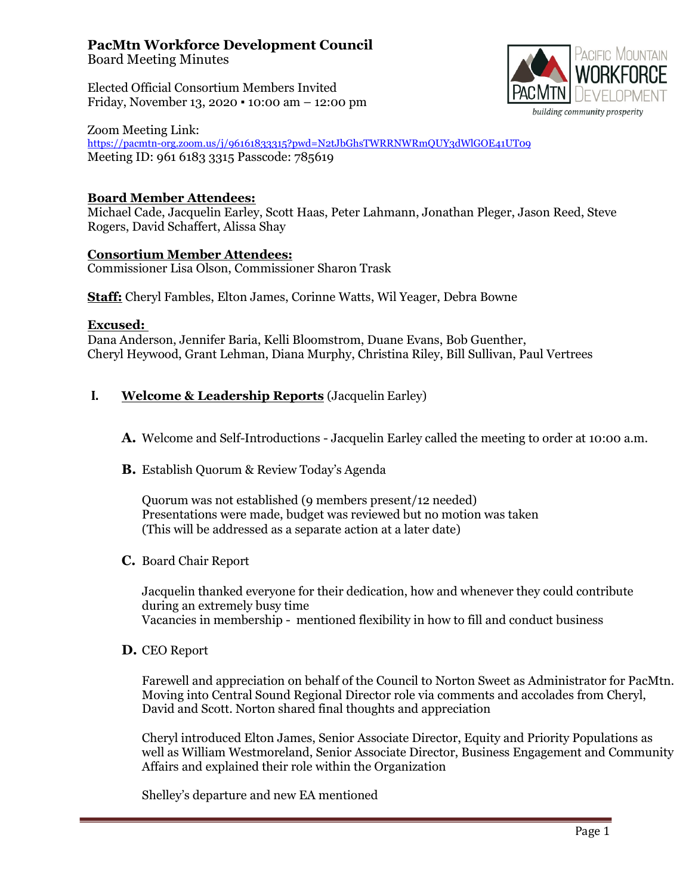# **PacMtn Workforce Development Council**

Board Meeting Minutes

Elected Official Consortium Members Invited Friday, November 13, 2020 ▪ 10:00 am – 12:00 pm



Zoom Meeting Link: https://pacmtn-[org.zoom.us/j/96161833315?pwd=N2tJbGhsTWRRNWRmQUY3dWlGOE41UT09](https://pacmtn-org.zoom.us/j/96161833315?pwd=N2tJbGhsTWRRNWRmQUY3dWlGOE41UT09) Meeting ID: 961 6183 3315 Passcode: 785619

## **Board Member Attendees:**

Michael Cade, Jacquelin Earley, Scott Haas, Peter Lahmann, Jonathan Pleger, Jason Reed, Steve Rogers, David Schaffert, Alissa Shay

### **Consortium Member Attendees:**

Commissioner Lisa Olson, Commissioner Sharon Trask

**Staff:** Cheryl Fambles, Elton James, Corinne Watts, Wil Yeager, Debra Bowne

#### **Excused:**

Dana Anderson, Jennifer Baria, Kelli Bloomstrom, Duane Evans, Bob Guenther, Cheryl Heywood, Grant Lehman, Diana Murphy, Christina Riley, Bill Sullivan, Paul Vertrees

### **I. Welcome & Leadership Reports** (Jacquelin Earley)

- **A.** Welcome and Self-Introductions Jacquelin Earley called the meeting to order at 10:00 a.m.
- **B.** Establish Quorum & Review Today's Agenda

Quorum was not established (9 members present/12 needed) Presentations were made, budget was reviewed but no motion was taken (This will be addressed as a separate action at a later date)

**C.** Board Chair Report

Jacquelin thanked everyone for their dedication, how and whenever they could contribute during an extremely busy time Vacancies in membership - mentioned flexibility in how to fill and conduct business

**D.** CEO Report

Farewell and appreciation on behalf of the Council to Norton Sweet as Administrator for PacMtn. Moving into Central Sound Regional Director role via comments and accolades from Cheryl, David and Scott. Norton shared final thoughts and appreciation

Cheryl introduced Elton James, Senior Associate Director, Equity and Priority Populations as well as William Westmoreland, Senior Associate Director, Business Engagement and Community Affairs and explained their role within the Organization

Shelley's departure and new EA mentioned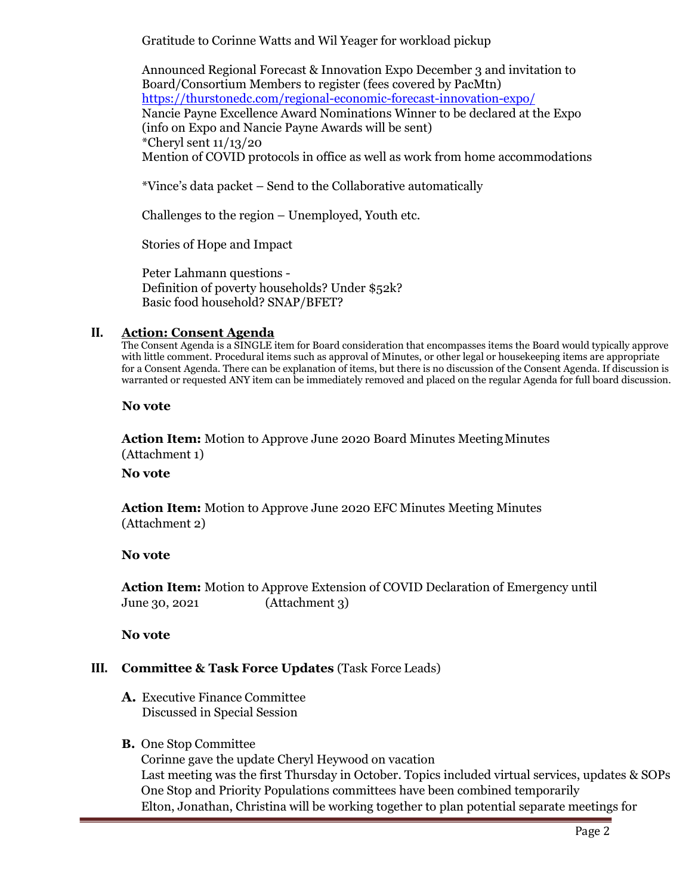Gratitude to Corinne Watts and Wil Yeager for workload pickup

Announced Regional Forecast & Innovation Expo December 3 and invitation to Board/Consortium Members to register (fees covered by PacMtn) [https://thurstonedc.com/regional](https://thurstonedc.com/regional-economic-forecast-innovation-expo/)-economic-forecast-innovation-expo/ Nancie Payne Excellence Award Nominations Winner to be declared at the Expo (info on Expo and Nancie Payne Awards will be sent) \*Cheryl sent 11/13/20 Mention of COVID protocols in office as well as work from home accommodations

\*Vince's data packet – Send to the Collaborative automatically

Challenges to the region – Unemployed, Youth etc.

Stories of Hope and Impact

Peter Lahmann questions - Definition of poverty households? Under \$52k? Basic food household? SNAP/BFET?

#### **II. Action: Consent Agenda**

The Consent Agenda is a SINGLE item for Board consideration that encompasses items the Board would typically approve with little comment. Procedural items such as approval of Minutes, or other legal or housekeeping items are appropriate for a Consent Agenda. There can be explanation of items, but there is no discussion of the Consent Agenda. If discussion is warranted or requested ANY item can be immediately removed and placed on the regular Agenda for full board discussion.

**No vote**

**Action Item:** Motion to Approve June 2020 Board Minutes MeetingMinutes (Attachment 1)

#### **No vote**

**Action Item:** Motion to Approve June 2020 EFC Minutes Meeting Minutes (Attachment 2)

### **No vote**

**Action Item:** Motion to Approve Extension of COVID Declaration of Emergency until June 30, 2021 (Attachment 3)

**No vote**

### **III. Committee & Task Force Updates** (Task Force Leads)

**A.** Executive Finance Committee Discussed in Special Session

### **B.** One Stop Committee

Corinne gave the update Cheryl Heywood on vacation Last meeting was the first Thursday in October. Topics included virtual services, updates & SOPs One Stop and Priority Populations committees have been combined temporarily Elton, Jonathan, Christina will be working together to plan potential separate meetings for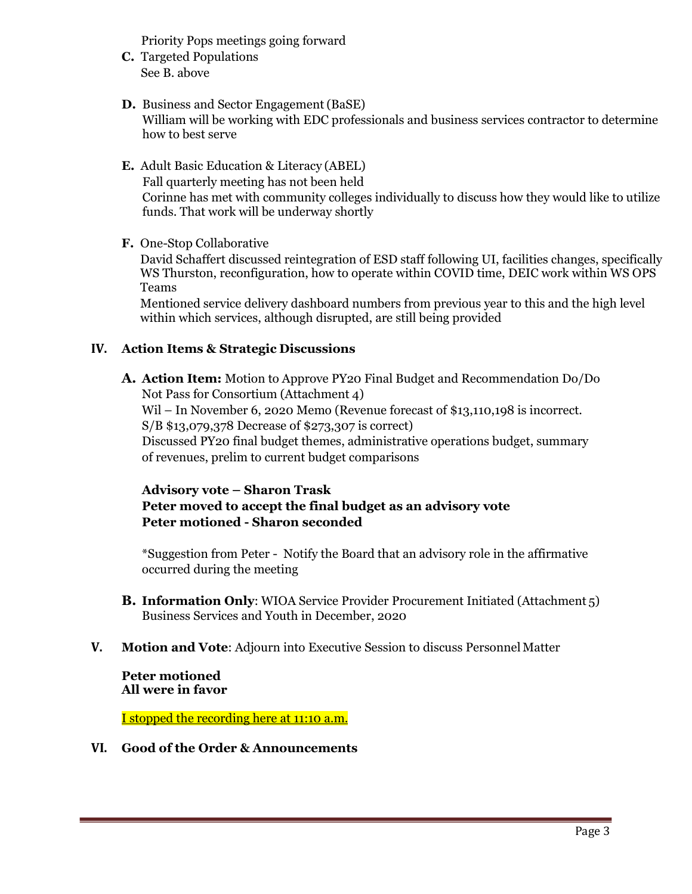Priority Pops meetings going forward

- **C.** Targeted Populations See B. above
- **D.** Business and Sector Engagement (BaSE) William will be working with EDC professionals and business services contractor to determine how to best serve
- **E.** Adult Basic Education & Literacy (ABEL) Fall quarterly meeting has not been held Corinne has met with community colleges individually to discuss how they would like to utilize funds. That work will be underway shortly
- **F.** One-Stop Collaborative

David Schaffert discussed reintegration of ESD staff following UI, facilities changes, specifically WS Thurston, reconfiguration, how to operate within COVID time, DEIC work within WS OPS Teams

Mentioned service delivery dashboard numbers from previous year to this and the high level within which services, although disrupted, are still being provided

## **IV. Action Items & Strategic Discussions**

**A. Action Item:** Motion to Approve PY20 Final Budget and Recommendation Do/Do Not Pass for Consortium (Attachment 4) Wil – In November 6, 2020 Memo (Revenue forecast of \$13,110,198 is incorrect. S/B \$13,079,378 Decrease of \$273,307 is correct) Discussed PY20 final budget themes, administrative operations budget, summary of revenues, prelim to current budget comparisons

## **Advisory vote – Sharon Trask Peter moved to accept the final budget as an advisory vote Peter motioned - Sharon seconded**

\*Suggestion from Peter - Notify the Board that an advisory role in the affirmative occurred during the meeting

- **B. Information Only**: WIOA Service Provider Procurement Initiated (Attachment 5) Business Services and Youth in December, 2020
- **V. Motion and Vote**: Adjourn into Executive Session to discuss Personnel Matter

**Peter motioned All were in favor**

I stopped the recording here at 11:10 a.m.

### **VI. Good of the Order & Announcements**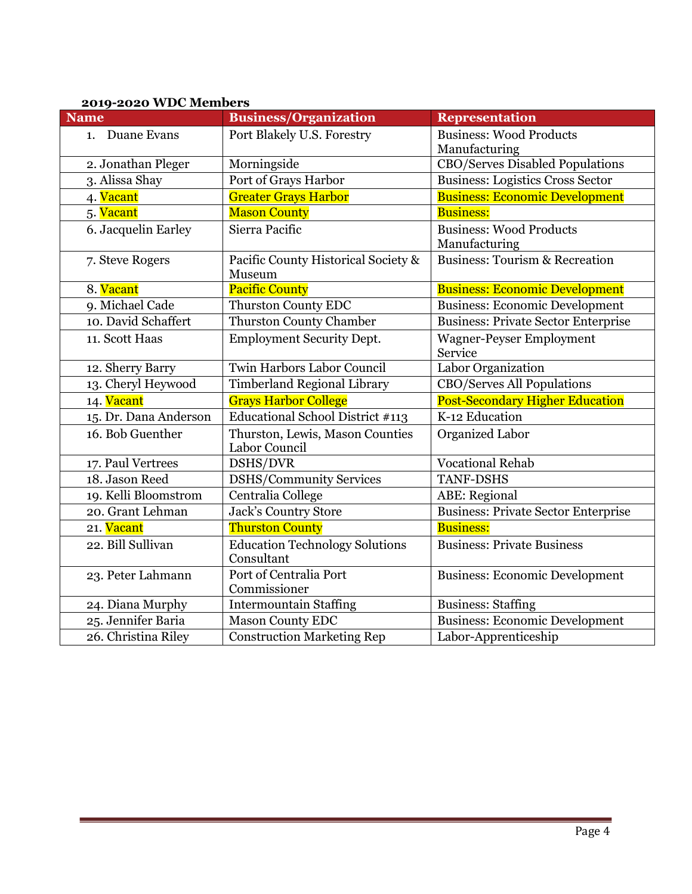| $2019$ $2020$ wdc members |                                                     |                                                 |  |  |
|---------------------------|-----------------------------------------------------|-------------------------------------------------|--|--|
| <b>Name</b>               | <b>Business/Organization</b>                        | <b>Representation</b>                           |  |  |
| 1. Duane Evans            | Port Blakely U.S. Forestry                          | <b>Business: Wood Products</b>                  |  |  |
|                           |                                                     | Manufacturing                                   |  |  |
| 2. Jonathan Pleger        | Morningside                                         | <b>CBO/Serves Disabled Populations</b>          |  |  |
| 3. Alissa Shay            | Port of Grays Harbor                                | <b>Business: Logistics Cross Sector</b>         |  |  |
| 4. Vacant                 | <b>Greater Grays Harbor</b>                         | <b>Business: Economic Development</b>           |  |  |
| 5. <mark>Vacant</mark>    | <b>Mason County</b>                                 | <b>Business:</b>                                |  |  |
| 6. Jacquelin Earley       | Sierra Pacific                                      | <b>Business: Wood Products</b><br>Manufacturing |  |  |
| 7. Steve Rogers           | Pacific County Historical Society &<br>Museum       | <b>Business: Tourism &amp; Recreation</b>       |  |  |
| 8. Vacant                 | <b>Pacific County</b>                               | <b>Business: Economic Development</b>           |  |  |
| 9. Michael Cade           | <b>Thurston County EDC</b>                          | <b>Business: Economic Development</b>           |  |  |
| 10. David Schaffert       | <b>Thurston County Chamber</b>                      | <b>Business: Private Sector Enterprise</b>      |  |  |
| 11. Scott Haas            | <b>Employment Security Dept.</b>                    | <b>Wagner-Peyser Employment</b><br>Service      |  |  |
| 12. Sherry Barry          | Twin Harbors Labor Council                          | Labor Organization                              |  |  |
| 13. Cheryl Heywood        | <b>Timberland Regional Library</b>                  | CBO/Serves All Populations                      |  |  |
| 14. Vacant                | <b>Grays Harbor College</b>                         | <b>Post-Secondary Higher Education</b>          |  |  |
| 15. Dr. Dana Anderson     | Educational School District #113                    | K-12 Education                                  |  |  |
| 16. Bob Guenther          | Thurston, Lewis, Mason Counties<br>Labor Council    | Organized Labor                                 |  |  |
| 17. Paul Vertrees         | DSHS/DVR                                            | <b>Vocational Rehab</b>                         |  |  |
| 18. Jason Reed            | <b>DSHS/Community Services</b>                      | <b>TANF-DSHS</b>                                |  |  |
| 19. Kelli Bloomstrom      | Centralia College                                   | <b>ABE:</b> Regional                            |  |  |
| 20. Grant Lehman          | <b>Jack's Country Store</b>                         | <b>Business: Private Sector Enterprise</b>      |  |  |
| 21. Vacant                | <b>Thurston County</b>                              | <b>Business:</b>                                |  |  |
| 22. Bill Sullivan         | <b>Education Technology Solutions</b><br>Consultant | <b>Business: Private Business</b>               |  |  |
| 23. Peter Lahmann         | Port of Centralia Port<br>Commissioner              | <b>Business: Economic Development</b>           |  |  |
| 24. Diana Murphy          | <b>Intermountain Staffing</b>                       | <b>Business: Staffing</b>                       |  |  |
| 25. Jennifer Baria        | <b>Mason County EDC</b>                             | <b>Business: Economic Development</b>           |  |  |
| 26. Christina Riley       | <b>Construction Marketing Rep</b>                   | Labor-Apprenticeship                            |  |  |

# **2019-2020 WDC Members**